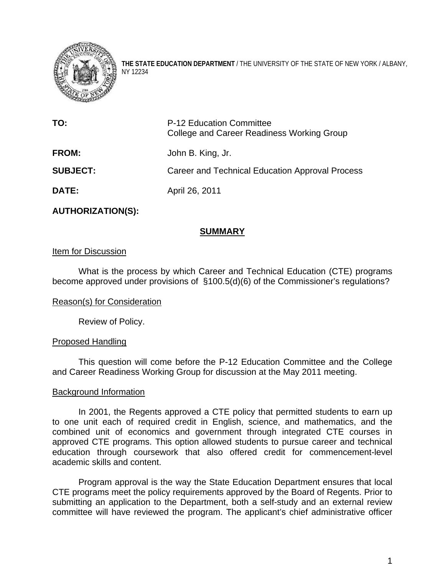

**THE STATE EDUCATION DEPARTMENT** / THE UNIVERSITY OF THE STATE OF NEW YORK / ALBANY, NY 12234

| TO:             | P-12 Education Committee<br>College and Career Readiness Working Group |
|-----------------|------------------------------------------------------------------------|
| <b>FROM:</b>    | John B. King, Jr.                                                      |
| <b>SUBJECT:</b> | Career and Technical Education Approval Process                        |
| <b>DATE:</b>    | April 26, 2011                                                         |

# **AUTHORIZATION(S):**

# **SUMMARY**

# Item for Discussion

What is the process by which Career and Technical Education (CTE) programs become approved under provisions of §100.5(d)(6) of the Commissioner's regulations?

## Reason(s) for Consideration

Review of Policy.

## Proposed Handling

This question will come before the P-12 Education Committee and the College and Career Readiness Working Group for discussion at the May 2011 meeting.

## Background Information

In 2001, the Regents approved a CTE policy that permitted students to earn up to one unit each of required credit in English, science, and mathematics, and the combined unit of economics and government through integrated CTE courses in approved CTE programs. This option allowed students to pursue career and technical education through coursework that also offered credit for commencement-level academic skills and content.

Program approval is the way the State Education Department ensures that local CTE programs meet the policy requirements approved by the Board of Regents. Prior to submitting an application to the Department, both a self-study and an external review committee will have reviewed the program. The applicant's chief administrative officer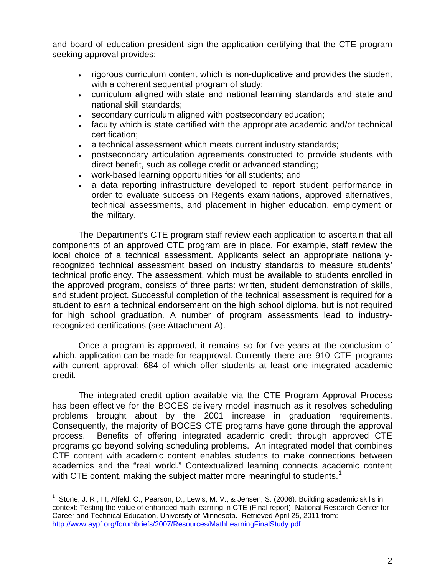and board of education president sign the application certifying that the CTE program seeking approval provides:

- rigorous curriculum content which is non-duplicative and provides the student with a coherent sequential program of study;
- curriculum aligned with state and national learning standards and state and national skill standards;
- secondary curriculum aligned with postsecondary education;
- faculty which is state certified with the appropriate academic and/or technical certification;
- a technical assessment which meets current industry standards;
- postsecondary articulation agreements constructed to provide students with direct benefit, such as college credit or advanced standing;
- work-based learning opportunities for all students; and
- a data reporting infrastructure developed to report student performance in order to evaluate success on Regents examinations, approved alternatives, technical assessments, and placement in higher education, employment or the military.

 The Department's CTE program staff review each application to ascertain that all components of an approved CTE program are in place. For example, staff review the local choice of a technical assessment. Applicants select an appropriate nationallyrecognized technical assessment based on industry standards to measure students' technical proficiency. The assessment, which must be available to students enrolled in the approved program, consists of three parts: written, student demonstration of skills, and student project. Successful completion of the technical assessment is required for a student to earn a technical endorsement on the high school diploma, but is not required for high school graduation. A number of program assessments lead to industryrecognized certifications (see Attachment A).

 Once a program is approved, it remains so for five years at the conclusion of which, application can be made for reapproval. Currently there are 910 CTE programs with current approval; 684 of which offer students at least one integrated academic credit.

 The integrated credit option available via the CTE Program Approval Process has been effective for the BOCES delivery model inasmuch as it resolves scheduling problems brought about by the 2001 increase in graduation requirements. Consequently, the majority of BOCES CTE programs have gone through the approval process. Benefits of offering integrated academic credit through approved CTE programs go beyond solving scheduling problems. An integrated model that combines CTE content with academic content enables students to make connections between academics and the "real world." Contextualized learning connects academic content with CTE content, making the subject matter more meaningful to students.<sup>[1](#page-1-0)</sup>

1

<span id="page-1-0"></span><sup>&</sup>lt;sup>1</sup> Stone, J. R., III, Alfeld, C., Pearson, D., Lewis, M. V., & Jensen, S. (2006). Building academic skills in context: Testing the value of enhanced math learning in CTE (Final report). National Research Center for Career and Technical Education, University of Minnesota. Retrieved April 25, 2011 from: <http://www.aypf.org/forumbriefs/2007/Resources/MathLearningFinalStudy.pdf>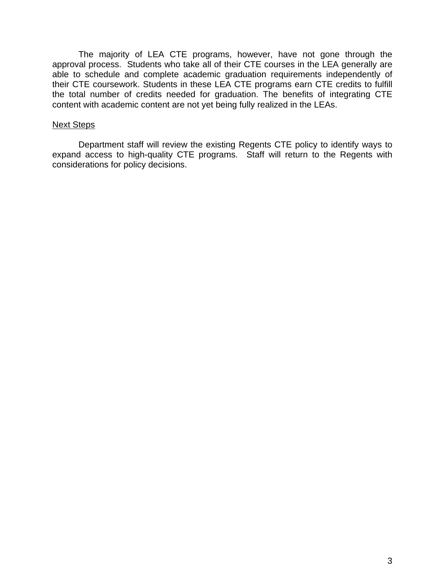The majority of LEA CTE programs, however, have not gone through the approval process. Students who take all of their CTE courses in the LEA generally are able to schedule and complete academic graduation requirements independently of their CTE coursework. Students in these LEA CTE programs earn CTE credits to fulfill the total number of credits needed for graduation. The benefits of integrating CTE content with academic content are not yet being fully realized in the LEAs.

#### Next Steps

Department staff will review the existing Regents CTE policy to identify ways to expand access to high-quality CTE programs. Staff will return to the Regents with considerations for policy decisions.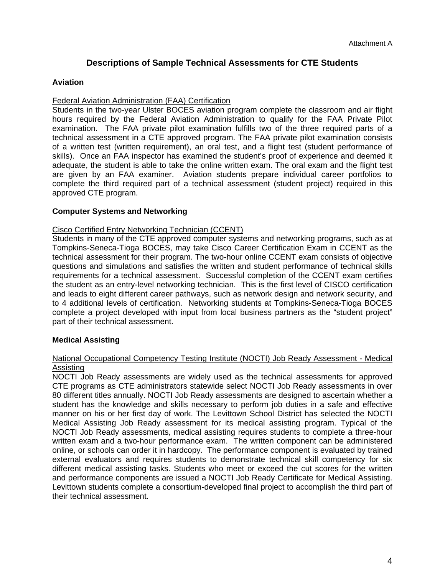# **Descriptions of Sample Technical Assessments for CTE Students**

### **Aviation**

#### Federal Aviation Administration (FAA) Certification

Students in the two-year Ulster BOCES aviation program complete the classroom and air flight hours required by the Federal Aviation Administration to qualify for the FAA Private Pilot examination. The FAA private pilot examination fulfills two of the three required parts of a technical assessment in a CTE approved program. The FAA private pilot examination consists of a written test (written requirement), an oral test, and a flight test (student performance of skills). Once an FAA inspector has examined the student's proof of experience and deemed it adequate, the student is able to take the online written exam. The oral exam and the flight test are given by an FAA examiner. Aviation students prepare individual career portfolios to complete the third required part of a technical assessment (student project) required in this approved CTE program.

#### **Computer Systems and Networking**

#### Cisco Certified Entry Networking Technician (CCENT)

Students in many of the CTE approved computer systems and networking programs, such as at Tompkins-Seneca-Tioga BOCES, may take Cisco Career Certification Exam in CCENT as the technical assessment for their program. The two-hour online CCENT exam consists of objective questions and simulations and satisfies the written and student performance of technical skills requirements for a technical assessment. Successful completion of the CCENT exam certifies the student as an entry-level networking technician. This is the first level of CISCO certification and leads to eight different career pathways, such as network design and network security, and to 4 additional levels of certification. Networking students at Tompkins-Seneca-Tioga BOCES complete a project developed with input from local business partners as the "student project" part of their technical assessment.

## **Medical Assisting**

#### National Occupational Competency Testing Institute (NOCTI) Job Ready Assessment - Medical Assisting

NOCTI Job Ready assessments are widely used as the technical assessments for approved CTE programs as CTE administrators statewide select NOCTI Job Ready assessments in over 80 different titles annually. NOCTI Job Ready assessments are designed to ascertain whether a student has the knowledge and skills necessary to perform job duties in a safe and effective manner on his or her first day of work. The Levittown School District has selected the NOCTI Medical Assisting Job Ready assessment for its medical assisting program. Typical of the NOCTI Job Ready assessments, medical assisting requires students to complete a three-hour written exam and a two-hour performance exam. The written component can be administered online, or schools can order it in hardcopy. The performance component is evaluated by trained external evaluators and requires students to demonstrate technical skill competency for six different medical assisting tasks. Students who meet or exceed the cut scores for the written and performance components are issued a NOCTI Job Ready Certificate for Medical Assisting. Levittown students complete a consortium-developed final project to accomplish the third part of their technical assessment.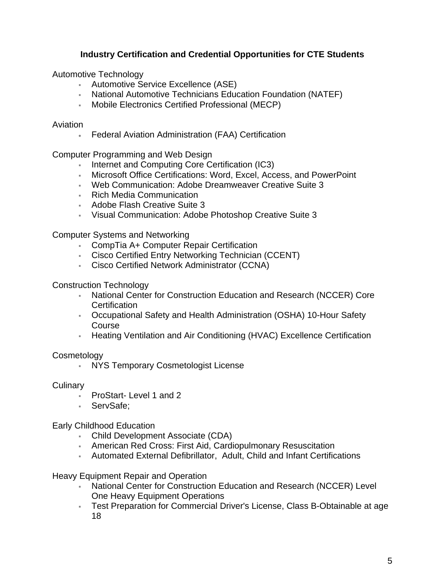# **Industry Certification and Credential Opportunities for CTE Students**

Automotive Technology

- Automotive Service Excellence (ASE)
- National Automotive Technicians Education Foundation (NATEF)
- Mobile Electronics Certified Professional (MECP)

## Aviation

Federal Aviation Administration (FAA) Certification

Computer Programming and Web Design

- Internet and Computing Core Certification (IC3)
- Microsoft Office Certifications: Word, Excel, Access, and PowerPoint
- Web Communication: Adobe Dreamweaver Creative Suite 3
- **Rich Media Communication**
- Adobe Flash Creative Suite 3
- Visual Communication: Adobe Photoshop Creative Suite 3

Computer Systems and Networking

- CompTia A+ Computer Repair Certification
- Cisco Certified Entry Networking Technician (CCENT)
- Cisco Certified Network Administrator (CCNA)

Construction Technology

- National Center for Construction Education and Research (NCCER) Core **Certification**
- Occupational Safety and Health Administration (OSHA) 10-Hour Safety Course
- Heating Ventilation and Air Conditioning (HVAC) Excellence Certification

# **Cosmetology**

**NYS Temporary Cosmetologist License** 

# **Culinary**

- ProStart-Level 1 and 2
- ServSafe:

# Early Childhood Education

- Child Development Associate (CDA)
- American Red Cross: First Aid, Cardiopulmonary Resuscitation
- Automated External Defibrillator, Adult, Child and Infant Certifications

Heavy Equipment Repair and Operation

- National Center for Construction Education and Research (NCCER) Level One Heavy Equipment Operations
- Test Preparation for Commercial Driver's License, Class B-Obtainable at age 18